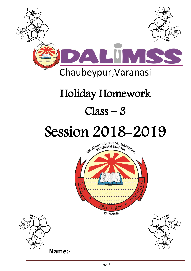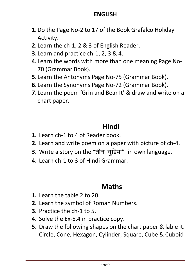#### **ENGLISH**

- **1.**Do the Page No-2 to 17 of the Book Grafalco Holiday Activity.
- **2.** Learn the ch-1, 2 & 3 of English Reader.
- **3.** Learn and practice ch-1, 2, 3 & 4.
- **4.** Learn the words with more than one meaning Page No-70 (Grammar Book).
- **5.** Learn the Antonyms Page No-75 (Grammar Book).
- **6.** Learn the Synonyms Page No-72 (Grammar Book).
- **7.** Learn the poem 'Grin and Bear It' & draw and write on a chart paper.

# **Hindi**

- **1.** Learn ch-1 to 4 of Reader book.
- **2.** Learn and write poem on a paper with picture of ch-4.
- **3.** Write a story on the "तीन ग ु डिया" in own language.
- **4.** Learn ch-1 to 3 of Hindi Grammar.

#### **Maths**

- **1.** Learn the table 2 to 20.
- **2.** Learn the symbol of Roman Numbers.
- **3.** Practice the ch-1 to 5.
- **4.** Solve the Ex-5.4 in practice copy.
- **5.** Draw the following shapes on the chart paper & lable it. Circle, Cone, Hexagon, Cylinder, Square, Cube & Cuboid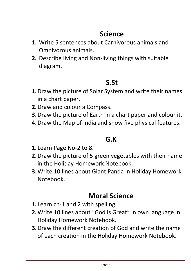## **Science**

- **1.** Write 5 sentences about Carnivorous animals and Omnivorous animals.
- **2.** Describe living and Non-living things with suitable diagram.

## **S.St**

- **1.**Draw the picture of Solar System and write their names in a chart paper.
- **2.**Draw and colour a Compass.
- **3.**Draw the picture of Earth in a chart paper and colour it.
- **4.**Draw the Map of India and show five physical features.

## **G.K**

- **1.** Learn Page No-2 to 8.
- **2.**Draw the picture of 5 green vegetables with their name in the Holiday Homework Notebook.
- **3.**Write 10 lines about Giant Panda in Holiday Homework Notebook.

#### **Moral Science**

- **1.** Learn ch-1 and 2 with spelling.
- **2.**Write 10 lines about "God is Great" in own language in Holiday Homework Notebook.
- **3.**Draw the different creation of God and write the name of each creation in the Holiday Homework Notebook.